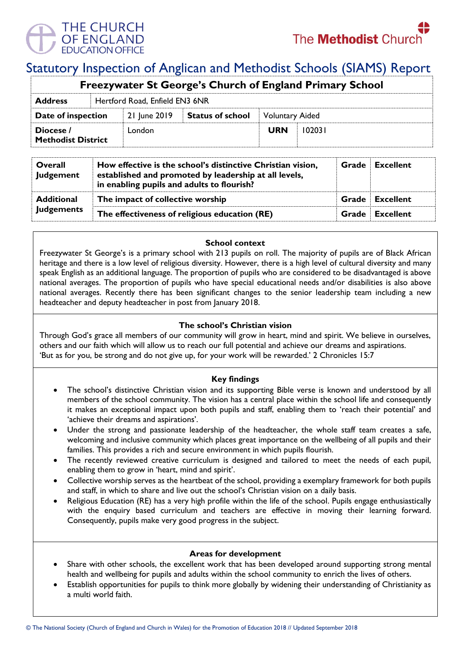

# Statutory Inspection of Anglican and Methodist Schools (SIAMS) Report

| <b>Freezywater St George's Church of England Primary School</b> |  |                                |                         |                        |        |  |  |
|-----------------------------------------------------------------|--|--------------------------------|-------------------------|------------------------|--------|--|--|
| <b>Address</b>                                                  |  | Hertford Road, Enfield EN3 6NR |                         |                        |        |  |  |
| Date of inspection                                              |  | 21 June 2019                   | <b>Status of school</b> | <b>Voluntary Aided</b> |        |  |  |
| Diocese /<br><b>Methodist District</b>                          |  | London                         |                         | <b>URN</b>             | 102031 |  |  |

| Overall<br>Judgement                   | How effective is the school's distinctive Christian vision,<br>established and promoted by leadership at all levels,<br>in enabling pupils and adults to flourish? |  | <b>Grade</b> Excellent |
|----------------------------------------|--------------------------------------------------------------------------------------------------------------------------------------------------------------------|--|------------------------|
| <b>Additional</b><br><b>Judgements</b> | The impact of collective worship                                                                                                                                   |  | <b>Grade</b> Excellent |
|                                        | The effectiveness of religious education (RE)                                                                                                                      |  | <b>Grade Excellent</b> |

## **School context**

Freezywater St George's is a primary school with 213 pupils on roll. The majority of pupils are of Black African heritage and there is a low level of religious diversity. However, there is a high level of cultural diversity and many speak English as an additional language. The proportion of pupils who are considered to be disadvantaged is above national averages. The proportion of pupils who have special educational needs and/or disabilities is also above national averages. Recently there has been significant changes to the senior leadership team including a new headteacher and deputy headteacher in post from January 2018.

# **The school's Christian vision**

Through God's grace all members of our community will grow in heart, mind and spirit. We believe in ourselves, others and our faith which will allow us to reach our full potential and achieve our dreams and aspirations. 'But as for you, be strong and do not give up, for your work will be rewarded.' 2 Chronicles 15:7

# **Key findings**

- The school's distinctive Christian vision and its supporting Bible verse is known and understood by all members of the school community. The vision has a central place within the school life and consequently it makes an exceptional impact upon both pupils and staff, enabling them to 'reach their potential' and 'achieve their dreams and aspirations'.
- Under the strong and passionate leadership of the headteacher, the whole staff team creates a safe, welcoming and inclusive community which places great importance on the wellbeing of all pupils and their families. This provides a rich and secure environment in which pupils flourish.
- The recently reviewed creative curriculum is designed and tailored to meet the needs of each pupil, enabling them to grow in 'heart, mind and spirit'.
- Collective worship serves as the heartbeat of the school, providing a exemplary framework for both pupils and staff, in which to share and live out the school's Christian vision on a daily basis.
- Religious Education (RE) has a very high profile within the life of the school. Pupils engage enthusiastically with the enquiry based curriculum and teachers are effective in moving their learning forward. Consequently, pupils make very good progress in the subject.

#### **Areas for development**

- Share with other schools, the excellent work that has been developed around supporting strong mental health and wellbeing for pupils and adults within the school community to enrich the lives of others.
- Establish opportunities for pupils to think more globally by widening their understanding of Christianity as a multi world faith.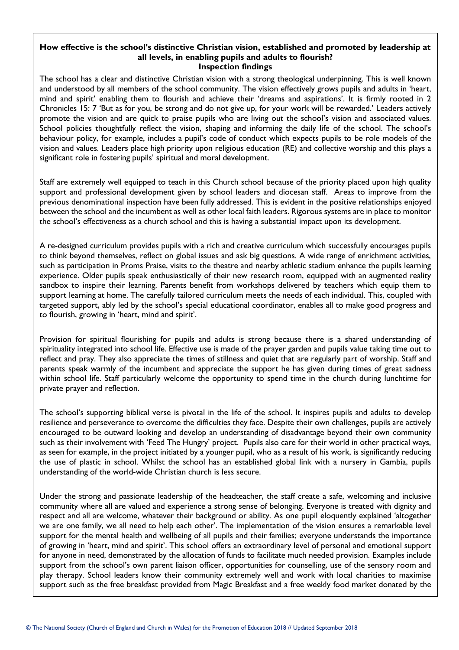#### **How effective is the school's distinctive Christian vision, established and promoted by leadership at all levels, in enabling pupils and adults to flourish? Inspection findings**

The school has a clear and distinctive Christian vision with a strong theological underpinning. This is well known and understood by all members of the school community. The vision effectively grows pupils and adults in 'heart, mind and spirit' enabling them to flourish and achieve their 'dreams and aspirations'. It is firmly rooted in 2 Chronicles 15: 7 'But as for you, be strong and do not give up, for your work will be rewarded.' Leaders actively promote the vision and are quick to praise pupils who are living out the school's vision and associated values. School policies thoughtfully reflect the vision, shaping and informing the daily life of the school. The school's behaviour policy, for example, includes a pupil's code of conduct which expects pupils to be role models of the vision and values. Leaders place high priority upon religious education (RE) and collective worship and this plays a significant role in fostering pupils' spiritual and moral development.

Staff are extremely well equipped to teach in this Church school because of the priority placed upon high quality support and professional development given by school leaders and diocesan staff. Areas to improve from the previous denominational inspection have been fully addressed. This is evident in the positive relationships enjoyed between the school and the incumbent as well as other local faith leaders. Rigorous systems are in place to monitor the school's effectiveness as a church school and this is having a substantial impact upon its development.

A re-designed curriculum provides pupils with a rich and creative curriculum which successfully encourages pupils to think beyond themselves, reflect on global issues and ask big questions. A wide range of enrichment activities, such as participation in Proms Praise, visits to the theatre and nearby athletic stadium enhance the pupils learning experience. Older pupils speak enthusiastically of their new research room, equipped with an augmented reality sandbox to inspire their learning. Parents benefit from workshops delivered by teachers which equip them to support learning at home. The carefully tailored curriculum meets the needs of each individual. This, coupled with targeted support, ably led by the school's special educational coordinator, enables all to make good progress and to flourish, growing in 'heart, mind and spirit'.

Provision for spiritual flourishing for pupils and adults is strong because there is a shared understanding of spirituality integrated into school life. Effective use is made of the prayer garden and pupils value taking time out to reflect and pray. They also appreciate the times of stillness and quiet that are regularly part of worship. Staff and parents speak warmly of the incumbent and appreciate the support he has given during times of great sadness within school life. Staff particularly welcome the opportunity to spend time in the church during lunchtime for private prayer and reflection.

The school's supporting biblical verse is pivotal in the life of the school. It inspires pupils and adults to develop resilience and perseverance to overcome the difficulties they face. Despite their own challenges, pupils are actively encouraged to be outward looking and develop an understanding of disadvantage beyond their own community such as their involvement with 'Feed The Hungry' project. Pupils also care for their world in other practical ways, as seen for example, in the project initiated by a younger pupil, who as a result of his work, is significantly reducing the use of plastic in school. Whilst the school has an established global link with a nursery in Gambia, pupils understanding of the world-wide Christian church is less secure.

Under the strong and passionate leadership of the headteacher, the staff create a safe, welcoming and inclusive community where all are valued and experience a strong sense of belonging. Everyone is treated with dignity and respect and all are welcome, whatever their background or ability. As one pupil eloquently explained 'altogether we are one family, we all need to help each other'. The implementation of the vision ensures a remarkable level support for the mental health and wellbeing of all pupils and their families; everyone understands the importance of growing in 'heart, mind and spirit'. This school offers an extraordinary level of personal and emotional support for anyone in need, demonstrated by the allocation of funds to facilitate much needed provision. Examples include support from the school's own parent liaison officer, opportunities for counselling, use of the sensory room and play therapy. School leaders know their community extremely well and work with local charities to maximise support such as the free breakfast provided from Magic Breakfast and a free weekly food market donated by the